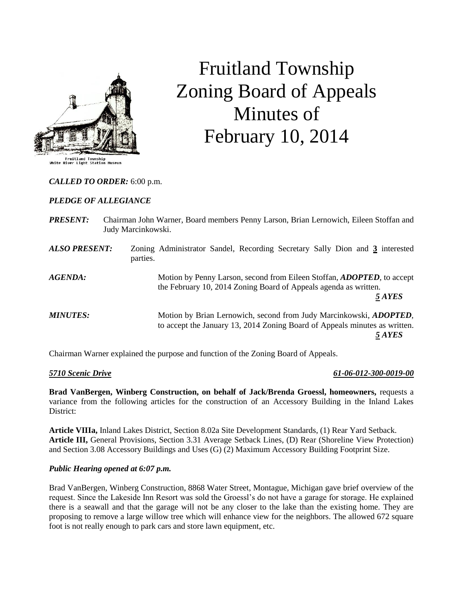

# Fruitland Township Zoning Board of Appeals Minutes of February 10, 2014

## *CALLED TO ORDER:* 6:00 p.m.

#### *PLEDGE OF ALLEGIANCE*

| <b>PRESENT:</b>      | Judy Marcinkowski. | Chairman John Warner, Board members Penny Larson, Brian Lernowich, Eileen Stoffan and                                                                              |
|----------------------|--------------------|--------------------------------------------------------------------------------------------------------------------------------------------------------------------|
| <b>ALSO PRESENT:</b> | parties.           | Zoning Administrator Sandel, Recording Secretary Sally Dion and 3 interested                                                                                       |
| AGENDA:              |                    | Motion by Penny Larson, second from Eileen Stoffan, <i>ADOPTED</i> , to accept<br>the February 10, 2014 Zoning Board of Appeals agenda as written.<br>5 AYES       |
| <b>MINUTES:</b>      |                    | Motion by Brian Lernowich, second from Judy Marcinkowski, <i>ADOPTED</i> ,<br>to accept the January 13, 2014 Zoning Board of Appeals minutes as written.<br>5 AYES |

Chairman Warner explained the purpose and function of the Zoning Board of Appeals.

#### *5710 Scenic Drive 61-06-012-300-0019-00*

**Brad VanBergen, Winberg Construction, on behalf of Jack/Brenda Groessl, homeowners,** requests a variance from the following articles for the construction of an Accessory Building in the Inland Lakes District:

**Article VIIIa,** Inland Lakes District, Section 8.02a Site Development Standards, (1) Rear Yard Setback. **Article III,** General Provisions, Section 3.31 Average Setback Lines, (D) Rear (Shoreline View Protection) and Section 3.08 Accessory Buildings and Uses (G) (2) Maximum Accessory Building Footprint Size.

#### *Public Hearing opened at 6:07 p.m.*

Brad VanBergen, Winberg Construction, 8868 Water Street, Montague, Michigan gave brief overview of the request. Since the Lakeside Inn Resort was sold the Groessl's do not have a garage for storage. He explained there is a seawall and that the garage will not be any closer to the lake than the existing home. They are proposing to remove a large willow tree which will enhance view for the neighbors. The allowed 672 square foot is not really enough to park cars and store lawn equipment, etc.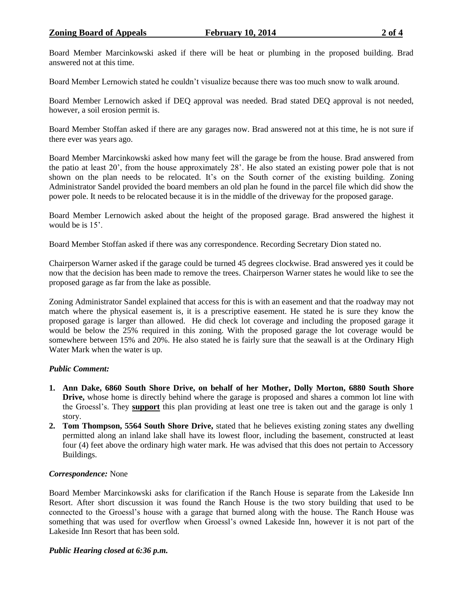Board Member Marcinkowski asked if there will be heat or plumbing in the proposed building. Brad answered not at this time.

Board Member Lernowich stated he couldn't visualize because there was too much snow to walk around.

Board Member Lernowich asked if DEQ approval was needed. Brad stated DEQ approval is not needed, however, a soil erosion permit is.

Board Member Stoffan asked if there are any garages now. Brad answered not at this time, he is not sure if there ever was years ago.

Board Member Marcinkowski asked how many feet will the garage be from the house. Brad answered from the patio at least 20', from the house approximately 28'. He also stated an existing power pole that is not shown on the plan needs to be relocated. It's on the South corner of the existing building. Zoning Administrator Sandel provided the board members an old plan he found in the parcel file which did show the power pole. It needs to be relocated because it is in the middle of the driveway for the proposed garage.

Board Member Lernowich asked about the height of the proposed garage. Brad answered the highest it would be is 15'.

Board Member Stoffan asked if there was any correspondence. Recording Secretary Dion stated no.

Chairperson Warner asked if the garage could be turned 45 degrees clockwise. Brad answered yes it could be now that the decision has been made to remove the trees. Chairperson Warner states he would like to see the proposed garage as far from the lake as possible.

Zoning Administrator Sandel explained that access for this is with an easement and that the roadway may not match where the physical easement is, it is a prescriptive easement. He stated he is sure they know the proposed garage is larger than allowed. He did check lot coverage and including the proposed garage it would be below the 25% required in this zoning. With the proposed garage the lot coverage would be somewhere between 15% and 20%. He also stated he is fairly sure that the seawall is at the Ordinary High Water Mark when the water is up.

#### *Public Comment:*

- **1. Ann Dake, 6860 South Shore Drive, on behalf of her Mother, Dolly Morton, 6880 South Shore Drive,** whose home is directly behind where the garage is proposed and shares a common lot line with the Groessl's. They **support** this plan providing at least one tree is taken out and the garage is only 1 story.
- **2. Tom Thompson, 5564 South Shore Drive,** stated that he believes existing zoning states any dwelling permitted along an inland lake shall have its lowest floor, including the basement, constructed at least four (4) feet above the ordinary high water mark. He was advised that this does not pertain to Accessory Buildings.

# *Correspondence:* None

Board Member Marcinkowski asks for clarification if the Ranch House is separate from the Lakeside Inn Resort. After short discussion it was found the Ranch House is the two story building that used to be connected to the Groessl's house with a garage that burned along with the house. The Ranch House was something that was used for overflow when Groessl's owned Lakeside Inn, however it is not part of the Lakeside Inn Resort that has been sold.

#### *Public Hearing closed at 6:36 p.m.*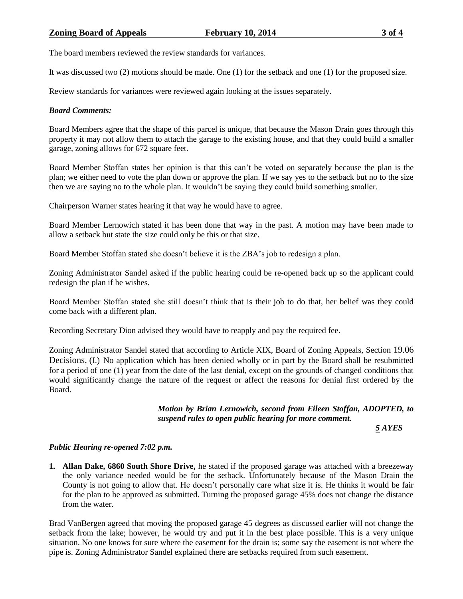The board members reviewed the review standards for variances.

It was discussed two (2) motions should be made. One (1) for the setback and one (1) for the proposed size.

Review standards for variances were reviewed again looking at the issues separately.

## *Board Comments:*

Board Members agree that the shape of this parcel is unique, that because the Mason Drain goes through this property it may not allow them to attach the garage to the existing house, and that they could build a smaller garage, zoning allows for 672 square feet.

Board Member Stoffan states her opinion is that this can't be voted on separately because the plan is the plan; we either need to vote the plan down or approve the plan. If we say yes to the setback but no to the size then we are saying no to the whole plan. It wouldn't be saying they could build something smaller.

Chairperson Warner states hearing it that way he would have to agree.

Board Member Lernowich stated it has been done that way in the past. A motion may have been made to allow a setback but state the size could only be this or that size.

Board Member Stoffan stated she doesn't believe it is the ZBA's job to redesign a plan.

Zoning Administrator Sandel asked if the public hearing could be re-opened back up so the applicant could redesign the plan if he wishes.

Board Member Stoffan stated she still doesn't think that is their job to do that, her belief was they could come back with a different plan.

Recording Secretary Dion advised they would have to reapply and pay the required fee.

Zoning Administrator Sandel stated that according to Article XIX, Board of Zoning Appeals, Section 19.06 Decisions, (I.) No application which has been denied wholly or in part by the Board shall be resubmitted for a period of one (1) year from the date of the last denial, except on the grounds of changed conditions that would significantly change the nature of the request or affect the reasons for denial first ordered by the Board.

> *Motion by Brian Lernowich, second from Eileen Stoffan, ADOPTED, to suspend rules to open public hearing for more comment.*

> > *5 AYES*

#### *Public Hearing re-opened 7:02 p.m.*

**1. Allan Dake, 6860 South Shore Drive,** he stated if the proposed garage was attached with a breezeway the only variance needed would be for the setback. Unfortunately because of the Mason Drain the County is not going to allow that. He doesn't personally care what size it is. He thinks it would be fair for the plan to be approved as submitted. Turning the proposed garage 45% does not change the distance from the water.

Brad VanBergen agreed that moving the proposed garage 45 degrees as discussed earlier will not change the setback from the lake; however, he would try and put it in the best place possible. This is a very unique situation. No one knows for sure where the easement for the drain is; some say the easement is not where the pipe is. Zoning Administrator Sandel explained there are setbacks required from such easement.